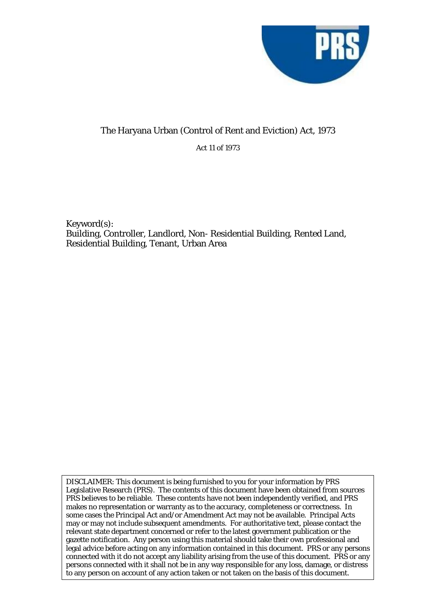

## The Haryana Urban (Control of Rent and Eviction) Act, 1973

Act 11 of 1973

Keyword(s): Building, Controller, Landlord, Non- Residential Building, Rented Land, Residential Building, Tenant, Urban Area

DISCLAIMER: This document is being furnished to you for your information by PRS Legislative Research (PRS). The contents of this document have been obtained from sources PRS believes to be reliable. These contents have not been independently verified, and PRS makes no representation or warranty as to the accuracy, completeness or correctness. In some cases the Principal Act and/or Amendment Act may not be available. Principal Acts may or may not include subsequent amendments. For authoritative text, please contact the relevant state department concerned or refer to the latest government publication or the gazette notification. Any person using this material should take their own professional and legal advice before acting on any information contained in this document. PRS or any persons connected with it do not accept any liability arising from the use of this document. PRS or any persons connected with it shall not be in any way responsible for any loss, damage, or distress to any person on account of any action taken or not taken on the basis of this document.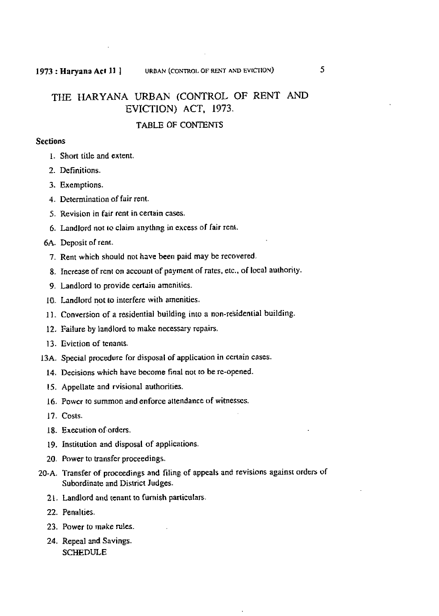## THE **HARYANA URBAN** (CONTROL OF RENT AND EVICTION) **ACT, 1973.**

### **TABLE OF CONTENTS**

### **Sections**

- **I.** *Short* **tille and extent.**
- 2. **Definitions.**
- **3. Exemptions.**
- **4. Determination of fair rent.**
- **5. Revision** in **fair rent in certain** cases.
- **6. Landlord not 10 claim anythng in excess of fair** rent.

### **6A. Deposit** nf **rent.**

- 7. **Rent which should not have been paid may** be **recovered.**
- **8. Increase of rcn! on account of payment oC rates,** elc., **of local authority.**
- **9. Landlord to provide certain amenities.**
- **10. Landlord not to inlerfere with amenities.**
- **<sup>1</sup>**I. **Conversion of a residential building** inro **a non-residential building.**
- **12. Failure by landlord ta make necessary repairs.**
- **<sup>1</sup>3. Evicrion of tcnanls.**
- **13A. Special procedure for disposal of applicauon in ccflain cases.** 
	- 14. Decisions which have become final not to be re-opened.
	- **15. Appellate and rvisional authoriries.**
	- 16. **Power to** summon **and enforce** attendance **of** witnesses.
	- **17. Cosu.**
	- **18. Execution of-orders.**
	- 19. **Insritulion and disposal of applications.**
	- **20. Power to kansfcr proceedings.**
- **20-A. Transfer of proceedings and filing of appeals and revisions again51 orders uf Subordinate and District Judges.** 
	- 2 **L** . **Landlord and tenant to furnish pmiculars.**
	- 22. Penalties.
	- **23. Power** to **make** des.
	- **24. Repeal and Savings. SCEDULE**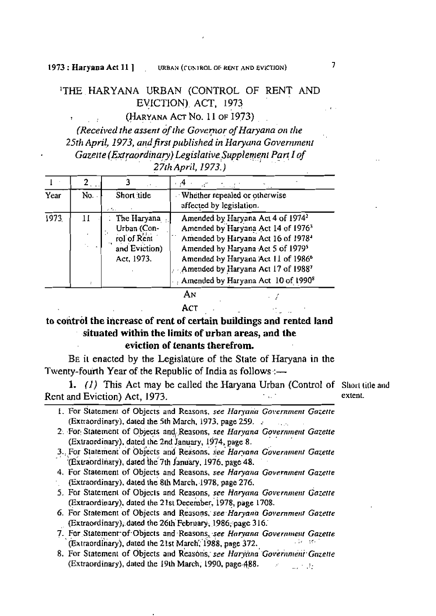## THE HARYANA URBAN (CONTROL OF RENT AND EVICTION) ACT, 1973

(HARYANA ACT No. 11 OF 1973)

(Received the assent of the Governor of Haryana on the 25th April, 1973, and first published in Haryana Government Gazette (Extraordinary) Legislative Supplement Part I of 27th April, 1973.)

|      |       |                                                                          | $+4-$                                                                                                                                                                                                                                                                                                                                        |
|------|-------|--------------------------------------------------------------------------|----------------------------------------------------------------------------------------------------------------------------------------------------------------------------------------------------------------------------------------------------------------------------------------------------------------------------------------------|
| Year | No. . | Short title                                                              | Whether repealed or otherwise<br>affected by legislation.                                                                                                                                                                                                                                                                                    |
| 1973 | 11    | The Haryana<br>Urban (Con-<br>rol of Rent<br>and Eviction)<br>Act, 1973. | Amended by Haryana Act 4 of 1974 <sup>2</sup><br>Amended by Haryana Act 14 of 1976 <sup>3</sup><br>Amended by Haryana Act 16 of 1978 <sup>4</sup><br>Amended by Haryana Act 5 of 1979 <sup>5</sup><br>Amended by Haryana Act 11 of 1986 <sup>6</sup><br>Amended by Haryana Act 17 of 19887<br>Amended by Haryana Act 10 of 1990 <sup>8</sup> |
|      |       |                                                                          | AN<br>АСТ                                                                                                                                                                                                                                                                                                                                    |

АСТ

# to control the increase of rent of certain buildings and rented land situated within the limits of urban areas, and the

### eviction of tenants therefrom.

BE it enacted by the Legislature of the State of Haryana in the Twenty-fourth Year of the Republic of India as follows :-

1.  $(l)$  This Act may be called the Haryana Urban (Control of Short title and Rent and Eviction) Act, 1973.

extent.

- 1. For Statement of Objects and Reasons, see Haryana Government Gazette (Extraordinary), dated the 5th March, 1973, page 259.  $\mathcal{L}_{\mathbf{a}}$  ,  $\mathcal{L}_{\mathbf{a}}$
- 2. For Statement of Objects and Reasons, see Haryana Government Gazette (Extraordinary), dated the 2nd January, 1974, page 8.
- 3. For Statement of Objects and Reasons, see Haryana Government Gazette (Extraordinary), dated the 7th January, 1976, page 48.
- 4. For Statement of Objects and Reasons, see Haryana Government Gazette (Extraordinary), dated the 8th March, 1978, page 276.
- 5. For Statement of Objects and Reasons, see Haryana Government Gazette (Extraordinary), dated the 21st December, 1978, page 1708.
- 6. For Statement of Objects and Reasons, see Haryana Government Gazette (Extraordinary), dated the 26th February, 1986, page 316.
- 7. For Statement of Objects and Reasons, see Haryana Government Gazette (Extraordinary), dated the 21st March, 1988, page 372. 人名 计结构
- 8. For Statement of Objects and Reasons, see Haryana Government Gazette (Extraordinary), dated the 19th March, 1990, page 488.  $\omega_{\rm eff} \simeq 0.01$

 $\overline{1}$ 

 $\frac{1}{2}$  .  $\frac{1}{2}$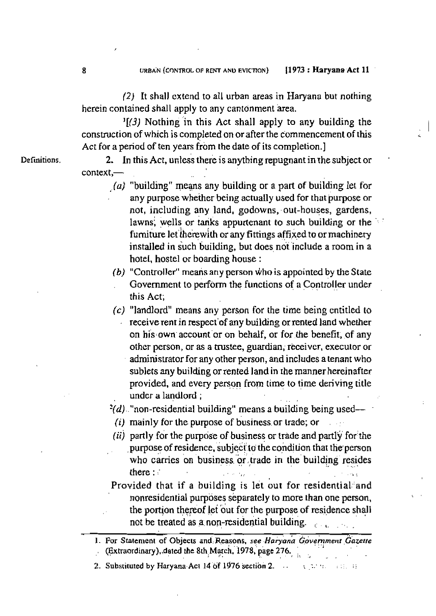(2) It **shall cx** tend to **all** urban **areas in Haryann** but **nothing**  herein contained shall apply to any cantonment area.

**l[3) Nothing** in **this Act shall apply to any building** the construction of which **is** completed **on or after** the commencement **of this Act for a** period **of** *ten* years from **the date of its completion.]** 

**Definitions. 2. In this Act, unless there is anything repugnant in the subject or context,-** .. .

- . (a) "building" means **any** building or **a part of building** ier for . **any purpose whether being actually used for that purpose or hot, including any land, godowns, out-houses, gardens, lawns, wells or tanks appurtenant to such building or the** furniture let therewith or any fittings affixed to or machinery **installed in &ch'building,** but **does,** noi **include a** room **in a**  horet, hostel w boarding **house** :
- *(b)* **"Controller"** means **any person who is appointed by the State Government** to **perfbrm** the functions **of a con** troller under **this Act;**
- (c) "landlord" means any person for the time being cntitled to **receive rent in respect'of any building or rented land whether on his own account or on behalf, or for the benefit, of any other person, or as a tnrstee, guardian; rkceivcr, executor or**  administrator for **any other vrson, and includes a tenant who sublets any building** or rented **land in** *[he* manner **hereinafter provided, and** every person **from time to time deriving title**  undcr a landlord ;

**?(d).** . **"non-residential building" means** a **building** being used- -

- **{i) mainly for** the **purpose** of business, **or** bade; **or** ,
- *(ii)* partly for the purpose of business or trade and partly for the **purpose of residence, subject to the condition that the person** who carries on business or trade in the building resides **there**  $:$  :  $\frac{1}{2}$  .  $\frac{1}{2}$  ,  $\frac{1}{2}$  ,  $\frac{1}{2}$  ,  $\frac{1}{2}$  ,  $\frac{1}{2}$  ,  $\frac{1}{2}$  ,  $\frac{1}{2}$  ,  $\frac{1}{2}$  ,  $\frac{1}{2}$  ,  $\frac{1}{2}$  ,  $\frac{1}{2}$  ,  $\frac{1}{2}$  ,  $\frac{1}{2}$  ,  $\frac{1}{2}$  ,  $\frac{1}{2}$  ,  $\frac{1}{2}$  ,  $\frac{$
- **Provided that if a building is let out for residential-'and nonresidential** purposes **separately to** more **than** one **person, I** . **the pornon thereof** let **our** for the purpose **of residence shall** , . not **be treated as a non-residential building.** , ,, . . , ,

1. For Statement of Objects and Reasons, see Haryana Government Gazette (Extraordinary), dated the 8th March, 1978, page 276.

2. **Substituted by Haryana- ACI 14 of 1g76 scctibn 2.** . - -... %.-, - , -- .. 1: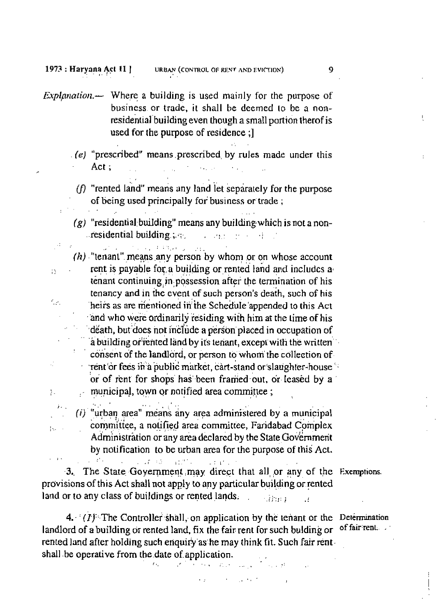$\Omega$ 

cу.

ħ.

 $14.7 - 7.$ 

- *Explanation*.— Where a building is used mainly for the purpose of business or trade, it shall be deemed to be a nonresidential building even though a small portion therof is used for the purpose of residence :1
	- (e) "prescribed" means prescribed by rules made under this  $Act:$ 
		- ( $f$ ) "rented land" means any land let separately for the purpose of being used principally for business or trade:
	- $(g)$  "residential building" means any building which is not a nonresidential building  $\mathbb{R}$ . 医神经细胞 计单位

roman (1995) (general station)  $(h)$  "tenant" means any person by whom or on whose account rent is payable for a building or rented land and includes a tenant continuing in possession after the termination of his tenancy and in the event of such person's death, such of his heirs as are mentioned in the Schedule appended to this Act and who were ordinarily residing with him at the time of his death, but does not include a person placed in occupation of a building or rented land by its tenant, except with the written consent of the landlord, or person to whom the collection of rent or fees in a public market, cart-stand or slaughter-house or of rent for shops has been framed out, or leased by a municipal, town or notified area committee;

 $(i)$  "urban area" means any area administered by a municipal committee, a notified area committee, Faridabad Complex Administration or any area declared by the State Government by notification to be urban area for the purpose of this Act.  $-17.4$ 3125.2

 $\pm 1.1$ 

3. The State Government may direct that all or any of the Exemptions. provisions of this Act shall not apply to any particular building or rented land or to any class of buildings or rented lands. ាវិនិយា  $\mathcal{L}$ 

 $4-(I)^{1/2}$  The Controller shall, on application by the tenant or the Determination landlord of a building or rented land, fix the fair rent for such bulding or rented land after holding such enquiry as he may think fit. Such fair rentshall be operative from the date of application.

έų.

of fair rent.

9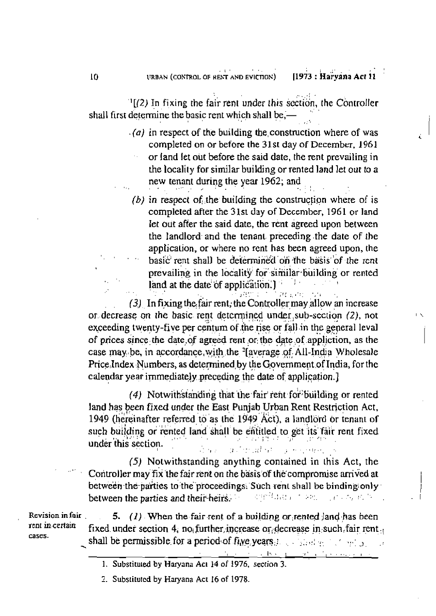$\mathbb{I}[(2)$  In fixing the fair rent under this section, the Controller shall first determine the basic rent which shall be,-

- $(a)$  in respect of the building the construction where of was completed on or before the 31st day of December, 1961 or land let out before the said date, the rent prevailing in the locality for similar building or rented land let out to a new tenant during the year 1962; and
- (b) in respect of the building the construction where of is completed after the 31st day of December, 1961 or land let out after the said date, the rent agreed upon between the landlord and the tenant preceding the date of the application, or where no rent has been agreed upon, the basic rent shall be determined on the basis of the rent prevailing in the locality for similar building or rented land at the date of application.)

(3) In fixing the fair rent, the Controller may allow an increase or decrease on the basic rent determined under sub-section (2), not exceeding twenty-five per centum of the rise or fall in the general leval of prices since the date of agreed rent or the date of appliction, as the case may be, in accordance with the '[average of All-India Wholesale Price Index Numbers, as determined by the Government of India, for the calendar year immediately preceding the date of application.]

(4) Notwithstanding that the fair rent for building or rented land has been fixed under the East Punjab Urban Rent Restriction Act, 1949 (hereinafter referred to as the 1949 Act), a landlord or tenant of such building or rented land shall be entitled to get its fair rent fixed under this section.

going all spring ways gain. an an

(5) Notwithstanding anything contained in this Act, the Controller may fix the fair rent on the basis of the compromise arrived at between the parties to the proceedings. Such rent shall be binding only between the parties and their heirs. i sanggun tem jilayin

Revision in fair rent in certain cases.

5.  $(1)$ . When the fair rent of a building or rented land has been fixed under section 4, no further increase or decrease in such fair rent, shall be permissible for a period of five years.  $\therefore$  shown  $\therefore$  such a

- the control of books and control of process parts 1. Substituted by Haryana Act 14 of 1976, section 3.
- 2. Substituted by Haryana Act 16 of 1978.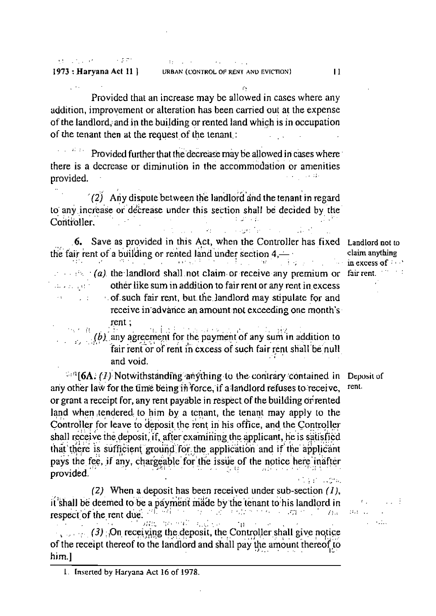**RECOGNIZED A STREET** state of the company of the com-1973 : Haryana Act 11 |

and an extent

Provided that an increase may be allowed in cases where any addition, improvement or alteration has been carried out at the expense of the landlord, and in the building or rented land which is in occupation of the tenant then at the request of the tenant.

Provided further that the decrease may be allowed in cases where there is a decrease or diminution in the accommodation or amenities provided.

(2) Any dispute between the landlord and the tenant in regard to any increase or decrease under this section shall be decided by the Controller.

6. Save as provided in this Act, when the Controller has fixed Landlord not to the fair rent of a building or rented land under section  $4 - \frac{1}{2}$ **Contract Contract** film a se

 $\therefore$   $\mathbb{R} \setminus \{a\}$  the landlord shall not claim or receive any premium or fair rent. other like sum in addition to fair rent or any rent in excess  $\sim$  cf. such fair rent, but the landlord may stipulate for and receive in advance an amount not exceeding one month's  $rent:$ 

e sa kara

 $\beta$  (b) any agreement for the payment of any sum in addition to fair rent or of rent in excess of such fair rent shall be null and void.

 $\mathbb{Z}^{13}$ [6A. (1) Notwithstanding anything to the contrary contained in Deposit of any other law for the time being in force, if a landlord refuses to receive, or grant a receipt for, any rent payable in respect of the building or rented land when tendered to him by a tenant, the tenant may apply to the Controller for leave to deposit the rent in his office, and the Controller shall receive the deposit, if, after examining the applicant, he is satisfied that there is sufficient ground for the application and if the applicant pays the fee, if any, chargeable for the issue of the notice here inafter provided.

(2) When a deposit has been received under sub-section  $(1)$ , it shall be deemed to be a payment made by the tenant to his landlord in respect of the rent due. The set the constitution of the constitution of the constitution of the constitution of the constitution of the constitution of the constitution of the constitution of the constitution of the constitution of the constitution of th and an eal and so-

 $11 (3)$  On receiving the deposit, the Controller shall give notice of the receipt thereof to the landlord and shall pay the amount thereof to him.l

claim anything  $\ln$  excess of  $\cdots$ 

rent.

 $\mathbf{f}(\mathbf{r}_i)$  .  $3.1 - 11$ and a star

 $\overline{11}$ 

1. Inserted by Haryana Act 16 of 1978.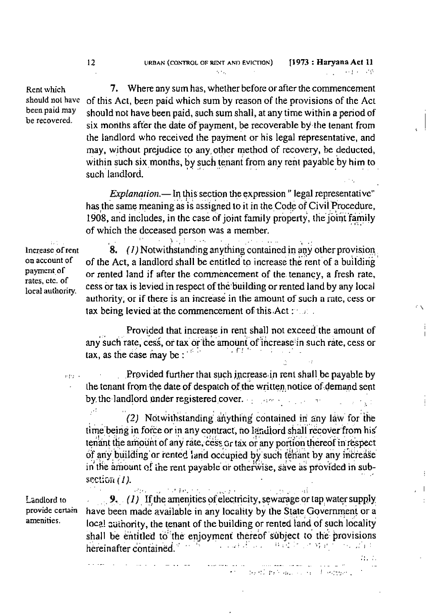Rent which should not have been paid may be recovered.

7. Where any sum has, whether before or after the commencement of this Act, been paid which sum by reason of the provisions of the Act should not have been paid, such sum shall, at any time within a period of six months after the date of payment, be recoverable by the tenant from the landlord who received the payment or his legal representative, and may, without prejudice to any other method of recovery, be deducted, within such six months, by such tenant from any rent payable by him to such landlord.

*Explanation*. - In this section the expression " legal representative" has the same meaning as is assigned to it in the Code of Civil Procedure, 1908, and includes, in the case of joint family property, the joint family of which the deceased person was a member.

Increase of rent on account of payment of rates, etc. of local authority.

 $\alpha$  and  $\alpha$ 

 $\Delta$  (  $\pm$  1) 8.  $(I)$  Notwithstanding anything contained in any other provision of the Act, a landlord shall be entitled to increase the rent of a building or rented land if after the commencement of the tenancy, a fresh rate, cess or tax is levied in respect of the building or rented land by any local authority, or if there is an increase in the amount of such a rate, cess or tax being levied at the commencement of this Act:

ċχ

j.

 $\overline{\phantom{a}}$ 

 $H_0/H_0$ 

Provided that increase in rent shall not exceed the amount of any such rate, cess, or tax or the amount of increase in such rate, cess or tax, as the case may be:

Provided further that such increase in rent shall be payable by the tenant from the date of despatch of the written notice of demand sent by the landlord under registered cover. The contract of the state

 $\sim$ (2) Notwithstanding anything contained in any law for the time being in force or in any contract, no landlord shall recover from his tenant the amount of any rate, cess Gr tax or any portion thereof in respect of any building or rented land occupied by such tenant by any increase in the amount of the rent payable or otherwise, save as provided in subsection  $(1)$ .

Landlord to provide certain amenities.

University of  $\sqrt{16.2 \times 10^{-2}}$ 化电压 网络 9. (1) If the amenities of electricity, sewarage or tap water supply have been made available in any locality by the State Government or a local authority, the tenant of the building or rented land of such locality shall be entitled to the enjoyment thereof subject to the provisions <sup>20</sup> 200 ដែល បានសំរេង អ្នកស្រាវជាប្ hereinafter contained.

the classification and contractions.

سفار وواست الرازي بالمراريح والمرار

12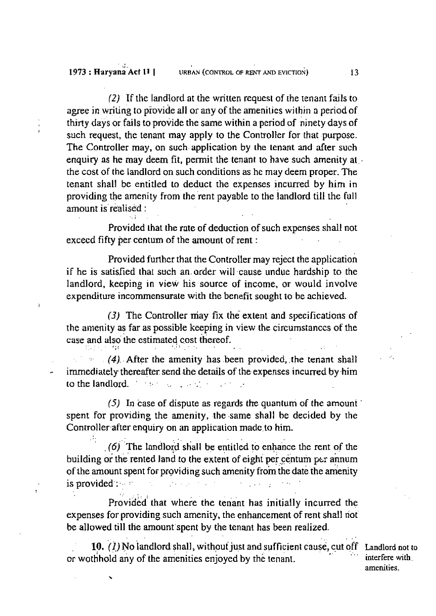*(2)* **If** the landlord **at the written request** of **the** renanr **fails to agree in** wriling *to* provide **all** or **any of the amenilics within a period of**  thirty **days** or **fails** to **provide the same wirhin a period of ninety days of such request, the lenant may apply to the Controller for thar purpose.**  The Controller **may, on such application** by **the tenant and after such enquiry as he may deem fit,** permit the **tenant to have such amenity at**  the cost of **the landlord** on such conditions **as** he may deem **proper. The tenant shall** be **entitled to deduct the expenses incurred by him** in **providing the amenity from the rent payable to the 1andlord till** the **full**  amount is realised :

**Provided that the rate of deduction of such expenses shall** not **excecd** fifty **per: centum of** the **amount** of **rent** :

**Provided** funhcr **that the Controller may reject the application if he is satisfied thar such an.** order **wi** 11 -cause **undue hardship to the landlord, keeping in** *view* his **source of** income, **or** would **involve expenditure incommensurate with the benefit sought to** he **achieved.** 

**(3)** The Controller **may fix the extent and speciIications of**  t hc **amenity as far as possible keeping in view the circumstances of** the case and also the estimated cost thereof.

**1** 

-., **(4).** . **After the** amenity **has .been provided,. the tenant shall**  - **immediately.** thereafter. **send .he details of the expenses incurred by .him**  . , **to** the **landlord.** ' - : ., \_ .. , ,. .

**(5) Ln** case of **dispute** as **regards thr: quantum of the amount spent** for **providing** the **amenity, the .same shall** he **decided by the**  Controller after enquiry on an application made to him.

 $(6)$  The landlord shall be entitled to enhance the rent of the **building or the rented land to the extent of eight per centum per annum of the amount spent for providing such amenity from the date the amenity** is **provided-:** :, ,, , - ,,

Provided that where the tenant has initially incurred the **expenses** for **providing** such amenity, **the enhancement of rent shall riot be allowed till the amount-spent by the tenant has been realized.** 

' ,-

. . 10. (1) No landlord shall, without just and sufficient cause, cut off Landlord not to or wothhold any of the amenities enjoyed by the tenant.

amenities.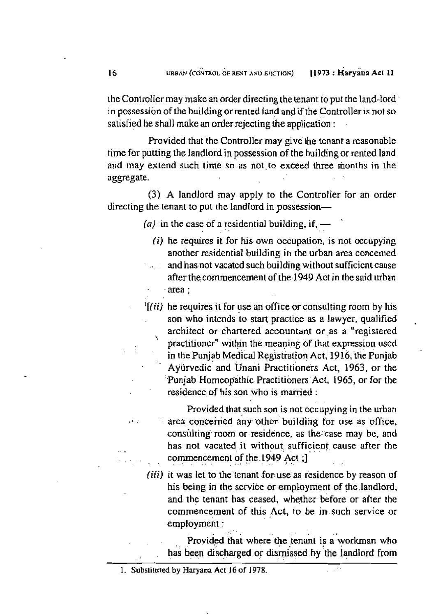rhe ControlIer may **make an order directing** the tenant io **put** the **land-lord** ' in possession of the building or rented land and if the Controller is not so **satisfied he shall** make **an** order rejecting **the application** :

**Provided** that **the** Controller **may give he tenant a** reasonable time for **putting** the **landlord** in **possession of** the **building** or rented **land and may extend** such **time** *so* **as** not-to **exceed** three months **in** the **aggregate.** , ,

**(3) A landlord may apply** to **the** ControlIer For **an** order directing the **tenant** to **put rhe landford** in possession- '

 $(a)$  in the case of a residential building, if, —

- **(i)** he **requires it** for **his own occupation, is** nor **occupying another residential building in** the **urban area concerned**  .. **and** hasaot **vacatcd such building without suificicnt cause after the** commencement **of** the **1949 Act in the said urban**  - **.area;**
- **'[(ii) he requires it for use an** office **or consultingroom by his**  , , **son who intends** to **start practice as a lawyer, qualified**  architect or chartered accountant or as a "registered **practitioner" within the meaning of that expression used in the** Punjab **Medical** Registizilior! **~ct, 19 16, tlik Punjab**  Ayurvedic and Unani Practitioners Act, 1963, or the **'Punjab Homeopathic** Practi **tibners 'Act, 1965, or for** the residence **of** his **son who is married** :

Provided **that such son is** not **occupying in** the **urban**  :I . -. area **concemed** any other: **building** for **use as** office. **consulting** room **or,** residence, **as the:ease may** be, **and**  . - **has not vacated ,it without sufficient, cause after** the commencement of the 1949 Act ;]

**(iii) it was let to** the'lenant **-for** use' **as residence by** reason **of**  his **being in the service or employment of** the **.landlord,**  and **the tenant has ceased, whether** before or after **the commencement** of **this Act, to be in,.such** service or **employment** : ,.'.

Provided that where the tenant is a workman who has been discharged or dismissed by the landlord from

, , , **<sup>k</sup>**

<sup>1.</sup> **Subslituted by Haryana Act 16 of 1978.**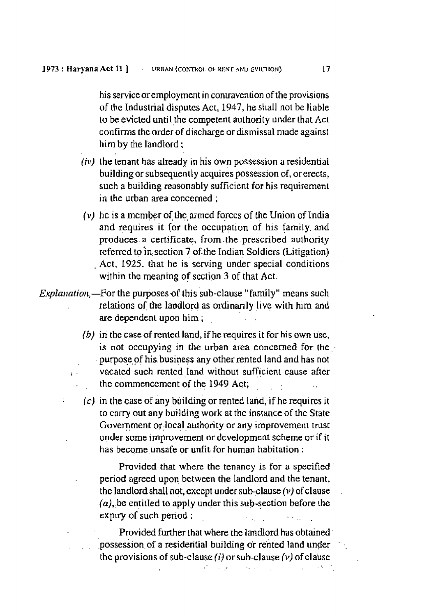his service or employment in contravention of the provisions of **the Induslrial disputes Acr,** 1947, *he* **shall** not be liable **to be evicted until** the **competent authority** under **that Act confirms the** order of **discharge or** dismissal made **againsl**  him **by** the **landlord** ;

- *(iv)* the **tenant** has **already in** his **own possession a residential building** or subsequen **1** l **acquires** possession of, ar erects, such a **building reasonably** sufficient for **his requirement**  in the urban **area** concerned ;
	- **(v)** he is **a member of:** *the,* **mmed forces** of the Union of **India and requires it ior the** occupation of his family and produces a certificate, from the prescribed authority **referred to in section 7 of the Indian Soldiers (Litigation)** Act, 1925, that he is serving under special conditions within **the meaning of section 3** of **that Act.**
- *E,rplanatiou,-For* **the purposes,of this sub-clause "family" means such**  relations **of the landlord** as **ordinarily** . **live** . **with** him **and**  are dependent upon him ;
	- *(b)* **iri** the **case of rented land, if he requires it** for his own **use.**  is **not** occupying in **the** urban **area concerned for the..**  purpose,of **his, busines any** other rented **land and has** not **I**. vacated such rented land without sufficient cause after . thc commenccment **of the 1949 Act;** . ,. . >
		- (c) in the case of any building or rented land, if he requires it to **carry out any building work at** the **insrance** of the **State**  Government or local authority or any improvement trust **under** some improvement or **dcvelopmcnt** scheme or if **i** <sup>t</sup> **has become unsafe** .or **unfit.** for **human habitation** :

**Provided that** where **the** tenancy **is** for **a specified** , **period agreed** upon **between the landlord and the tenant, the** landlord shall not, **except under** sub,clause **(11) of clause** , *(u),,be* **entitIed to apply** under **this sub-section before Ihe**  expiry of such period :

**Provided** further **that where** the **landlord** hus **obtained'**  ... possession of a resideritial building or rented land under the provisions of sub-clause (*i*) or sub-clause  $(v)$  of clause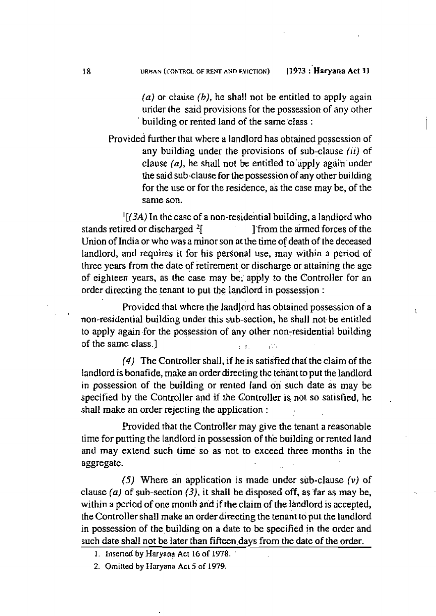*(a)* **or** clalise *(b),* he **shall not be entitled to apply** again urider (he said **provisions** for the **possession of any** other ' **building or rented land of** the same,class :

provided **further that where a landlord has** obtained **possession of**  any building under the provisions of sub-clause *(ii)* of clause  $(a)$ , he shall not be entitled to apply again under **he** said **sub-clause for** the **possession of any** other **building for** *the* **use or** for **the residence, ai** the **case may** be, of **the same** son.

 $\frac{1}{2}$   $(3A)$  In the case of a non-residential building, a landlord who **stands retired or discharged <sup>2</sup>[ ] [from the armed forces of the Union of India or who was a** minor **son at the time of death of** the **deceased**  landlord, **and requires it** for **his perSonal** use, **may within a period of**  three **years from** the **dare** of retirement or **discharge or attaining the** age of eighteen **years, as the case may be,, apply to** the Controller for an order **dire~ting** the **tenant to put the landlord** in **possession** :

**Provided that where the landlord has obtaincd** possession **of a** <sup>I</sup> **non-residen tial building under this sub-section,** he **shall** not- be entitled to apply again for the possession of any other non-residential building **of the samc class.]**  $\qquad \qquad \qquad$ , ... ,..

**(4) The Controller** shall, **if he is satisfied thai the claim** of **the**  landlord **is bonafide,** make **an order directing thc** tenant to **put the** landlord in possession **of** the **building** or **rented land on such date as may** be **specified by the Controller and if the Controller is** not **so satisfied, he shall make an order rejecting the applic-ation** :

**Provided that the Controller may give the tenant a reasonable**  time for **putting the landiord in possession of th'e building or rented land and may extend such time so asmnot to exceed three months in the aggregate.** . .

 $(5)$  Where an application is made under sub-clause  $(v)$  of **clause (a)** of **sub-section** *(3),* **it shall be disposed off, as far** as **may** be, **within** a **period of one month and** if **the claim of the hdlord is accepted, the** Controller **shall make an order directing the tenant to put the landlord in possession of the buj Iding on a date** to **be specified in the order** and **such date** shall not **be later than fifteen.days** from **the date of** the **order.** 

- 1. **Tnsened by Haryana Act 16 of 1978.** '
- **2. Omitted by Haryana Act 5 of 1979.**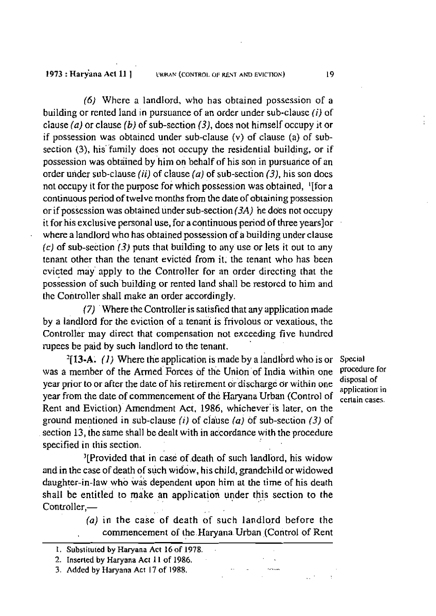1973 : Harvana Act 11 1

**(6)** Where a **landlord, who has obtained** possession **of a building** or **rented land in** pursuance of **an order under** sub-clausc **(iJ** of **clause (a)** or **clause** *(b)* **of sub-section (31, does not** himself occupy **it or if p~ssession was obtaincd under sub-clause (v) of** clause (a) **OF sub**section (3), his family does not occupy the residential building, or if possession **was** obtained **by** him **on** behalf **of** his **son** in **pursuarice of an order urider sub-clause (ii)** of **clause (a) of** sub-seciion **(3),** his son **docs**  not **occupy** it for the **purpose for** which possession was **obtained,** I[for **a**  continuous period of **twelve** months from he **date** of **ob~aining** pnssession or if **possession was obtained under sub-section (3A)** he does **not** occupy it **for his** exclusive **personal use,** for **a continuous period of three yearslor** . **where a landlord** who has **obtained pos&ssion** of **B building** under **clause (c]** of **sub-section** *13)* **puts that building** to **any** use or lets it **out to** my **tenant other than the tenant evicted from** it. **the** tenant **who** has been cvicted may' **apply to the** Controller **for an order dirccting thar** the possessjon of **such~building or rented land shall be restorcd to him and the** Controller **shall make an** order **accordingly.** 

(7) ' **Where** the ControlIer **is** satisfied **that any applicadon made**  by **a landlord** for *the* **eviction of a tenant is frivolous or vexaljous,** the **controller may direct that compensation not** exceeding **five** hundrcd **rupees** be **paid by such landlord to** the **tenant.** 

**'113-A.** (*I)* Where the application is made by a landlord who is or Special member of the Armed Borces of the Linion of India within one procedure for **was a member of the Armed-Forces of the Union-of India within one procedure I** disposal of **vear prior to or after the date of his retirement or discharge or within one** year from the date of commencement of the Haryana Urban (Control of  $\frac{1}{\text{certain cases}}$ ) Rent **and** Eviction) **Arncndment Act, 1986, whichever'is later, on** the **ground** mentioned **in** sub-clause **(1) of** clause **(a)** of **sub-seccion** (3) of **section 13, the** iame **shall** be **dealt with in accordance with** *the* **procedure specified in this** section.

<sup>3</sup>[Provided that in case of death of such landlord, his widow and in the case of death of such widow, his child, grandchild or widowed daughter-in-law whb w& **dependent upon** him **at** the time of **his death shall** be entitled lo **make** an **application** uvder this section **to the**  Controller,-

> *(a)* **in the** case **of death** of **such landlord** before **the**  . commencement of **the .Havana. Urban** ,(Control of Rent

**3. Added** by **Haryanii Act 1** 7 of **1988.** .. .

**applicalion' in** 

, .

19

<sup>1.</sup> Substituted by Haryana Act 16 of 1978.

<sup>2.</sup> **Inserted by Haryana Act 11 of 1986.**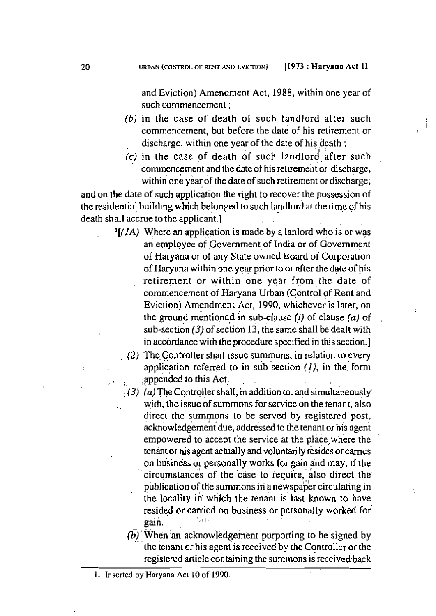**and** Eviction) **Amendment Act, 1988,** within one **year** of **such commencement** ;

i

- *(b)* **in the case- of death of such landlord** after **such commencement, but before the date of his** retirement or discharge, within one year of the date of his death;
- **(c) in the** case **of death of** such **landlordafter such** , commencement and the date of his retirement or discharge, **within** one **year** of **the date of** such retirement **or discharge;**

**and on** the date of such **application the right** lo **recover** the **possession of the** residential buildng **which belonged to such landlord** . , **at** the **time** ., of his . death **shall accrue** to **the applicant.]** , .

- *'[(JA}* Where **an application** is **made by a lanlord** who **is or was**  an employee of Government of India or of Government **of Haryana or** of **any State owned Board of Corporation of I-Iaryana within one ye\*** prior **to** or **after** the **date of his retirement** or **within, one year** from the **date** of  $r$  commencement of Haryana Urban (Control of Rent and Evicrion) **Amendment Act, 1990,** whichever **is** laier, on the ground mentioned in sub-clause  $(i)$  of clause  $(a)$  of **sub-section** *(3)* of **seition 13, the sameshall be dealt with**  in accordance with the procedure specified in this section.]
	- **(2)** The Controller **shall** issue summons,.in **relation to every**  application referred to in sub-section *(1)*, in the form , appended to this Act.
	- *(3)* (a). The Controller shall, in addition to, and simultaneously **yi th. the issue of** summons for service **on** the **tenant, also dircct the** summons to be **served by registered** post, **acknowled&meht due, addressed** to the **tenant or his agen\**  empowered to accept **the service at** the **place, where** the **tenant or his agent actually and voluntarily resides or carries on bisiness or personally works for oain and may.** if **the** !? **-7**  ' ' **circurnstanceb** of the iase **to require,** also **direct the** ' **publication of** the summons **in a newspa'&** circulating **in**  : **the Iabality ii wbith** the **tenant is'last known** to **have resided** or **carried** on **business** or **personally worked** for '\_,I. , , **gain.** . .
	- **(bj** .. **'~hen'an** . **acknowledgement purporting to be signed by**  [he **tenant** or his agentis received by the **Controller** or **the rcgistercd micle con taining the** summons is **rcceivcd~back**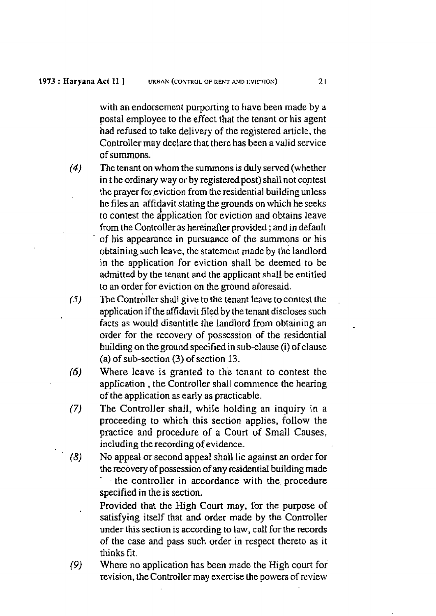**with an endorsement** purporting lo **have been made** by **a**  postal employee to **the** effect **that** the **tenant** or **his agent had refused** to **take delivery of** the registered article, the Controller **may** declare that there **has been a valid** service of **summons.** 

- **(4)** The **tenant** on **whom the** summons **is duly served** (whether in **t he ordinary way** or **by registeredpost)** shall not con **test**  the **prayer** for eviction **from the residential building** unless **he files an affidavit stating the grounds** on which he **seeks <sup>I</sup>**to **conlest** the **application** for cviction **and obtains** leave **from the** Controller as **hereinafter provided** ; **and in default**  of **his appearance in pursuance of** the summons or **his**  obtaining **such leave,** the statement **made** by **the landlord**  in the **application for** eviction **shall** be deemed **to be admitted by the tenanr** and the **applicant shall** be *enti* **tkd**  to an order **for** eviction on the **ground aforesaid.**
- **(5)** he on troller **shall give** to **the** tenant leave **to** con **test the** . **application** if the **affidavir** filed by the **tenant** discloses **such**  facts as **would** disentitle **the landlord** from obtaining **an order for** the recovely of **possession of** the **residential building on** the **ground specified in subclaux (i) of clause (a)** of sub-section **(3) of section 13.**
- **(6) Where leave is granted** to **the tenant** to contest **the**  application, the Controller shall commence the hearing **of the application** as **early as practicable.**
- (7) **The** Controller **shall, while holding an inquiry** in a **proceeding to which this section applies, follow** the **practice** and **procedure of** a Court **of Small Causes,**  including the **recording** of **evidence.**
- (8) **No appeal** or second **appeal** shall lie **against an order** for **the movery** of **possession** of **any residentid** building **made**  , **the controller** in **accordance with the, procedure**  specified **in** the is section.

**Provided that** the **High Court** may, for **the purpose of satisfying** itself that **and, order made by the** Conroller **under this section** is according **to** law, call for the **records**  of **the case and pass** such **order in rcspect** thereto **as it thinks** fit.

*(9)* Where no **application has been made** the **High** court **for**  revision, the Controller **may** exercise **the** powers of rcview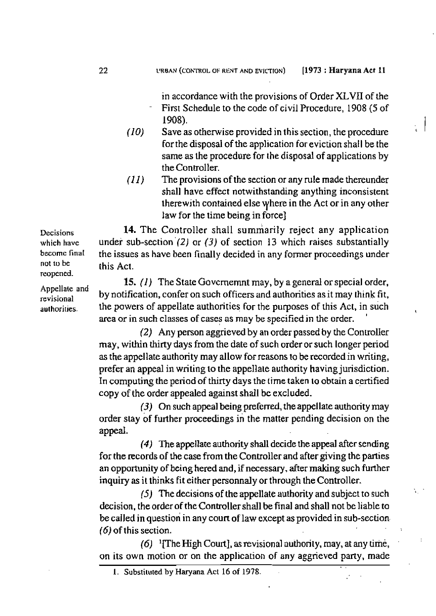- *(1* **0) Save as** otherwise **provided in this section, the procedure for** the **disposal of** the **application for** eviction **shal I** be **the same as the procedure** for **the disposal of applications by**  the Controller.
- *(I* **1) The provisions** of **the** section or **any** rule **made** thereunder shall have effect notwithstanding anything inconsistent **lherewj** th **contained else** yhere **in the Act or in any other**  law for the **time being** in **force]**

**14.** The **Controller shall summarily reject any application under sub-section '(2)** or **(3) of section 1 3** which **raises substantially the issues as have been finally decided** in **any** former **proceedings** under **rhis Act.** 

**15. (1)** The **State Govcmemnt** may, by **a** general or **special order, by notification, confer on** such **officers and authorities** as it **may think** fit, the **powers of appellate authorities for the purposes of rhis Act, in such area or** in **such** classes **of** cases **as may** be **specified in** the **order.** '

(2) **Any person aggrieved by an** order **passed by the Controller may, within thirty days** from the **date** of **such order** or **such** longer **period as the appellate authority may allow for rcasons to be recorded** in **writing, prefer** an **appeal** in **writing to the appellate authority having jurisdiction. In computiq** the **period of thirty days the time taken to obtain a certified copy** of the **order appealed against shall bc excluded.** 

**(3) On such appeal being preferred,** the **appellate authority may**  order **stay of further proceedings in the matter pending decision on the appeal.** 

**(4)** The **appellate authority shall decide the appeal after** send **ng for the records of** the **case** from **the Controller and after giving the parties an opportunity** of **being hered and, if necessary,** dter **making such further inquiry as it thinks fit either personnaly or** through **the Controller.** 

**(5) The decisions of the appellate authority and** subject to such **decision,** the **order of** the **Controller shall be final and shall not be liable to be called in question in any** court **of law except as provided in sub-section-**  *(6)* **of this section.** -.

 $\sqrt{2}$ 

**(6) '~heHighCourt],asrevisionalauthority,may,atanytime, on its own motion or on the application of any aggrieved party, made** 

**1. Substiluted** by **Haryana Act** 16 **of 1978.** 

**Decisions which havc becornc** final **not** ro be reopened.

**Appellate** and **revisional authoriries.**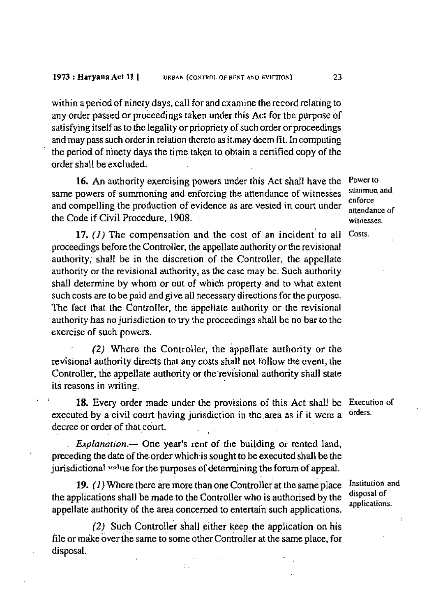**within a period** of ninety **days, call for and examine the** record **relating** to **any** order passed or **proieedi ngs taken under this Act for** the **purpose of salisfying** itself **as** to **thc legality** or **priopriety** of such **order** or **proceedings and may pass such** order in relation hereto **as itmay deem Fit.** In **computing**  the **period** of ninety **days the** time taken *to* **obtain a certified copy of the**  order shall be **excluded.** 

**16. An authority exercising powers under this Act shall have the Power <sup>10</sup>** same powers of summoning and enforcing the attendance of witnesses summon and enforce **enforce and** compelling **the production** of **evidence as are vested in** court **under atlcndancc** or **the** Code if Civil **Procedure, 1908.** - **witnesses.** 

**17.** *{I)* The compensation **and the cost** of **an incident'to all Cosrs. proceedings** before the Conkoller, the appel **Iate** authority or **the revisional authority; shall be in the discretion of the Controller, the appellate authority** or *the* revisional **authority, as the** case may be. **Such** authority **shall** determine **by whom or out** of **which** property **and** to **what extent**  such **costs are to** be **paid** and **give all necessary directions** for **the** purposc. The **fact that the** ControIler, the **appellatc authority** or the revisionill **authority** has no **jurisdiction to** *try* the **proceedings shall be no** bar **to** thc **exercise of such powers.** 

-(2) **Where the Controller, the appellate authority** or *the*  revisional **authority directs that any costs shall not** follow **~e** cvent, *the*  Controller, the appellate authority or the revisional authority shall state its **rcuons in writing.** 

18. Every order made under the provisions of this Act shall be Execution of **executed by a civil** court having **jurisdiction in** the **.area as if it** were **a**  decree or order of that court.

. *Explanation.-* One **year's rent of the building** or **rented land, preceding the date of** the,order **which.is** sought **to be executed shall be the jurisdictional lrp'l~e for** the **purposes of determining** the forum **of appeal.** 

19.  $(1)$  Where there are more than one Controller at the same place **Institution** and **the applications shall be made to the Controller who is authorised by the applications. applicalions. appellate authority** of **the area concerned** to **entertai'n such applications.** 

 $(2)$  Such Controller shall either keep the application on his file or make over the same to some other Controller at the same place, for **disposal.** 

 $\mathcal{L}$  ,

orders.

 $\bar{\mathcal{A}}$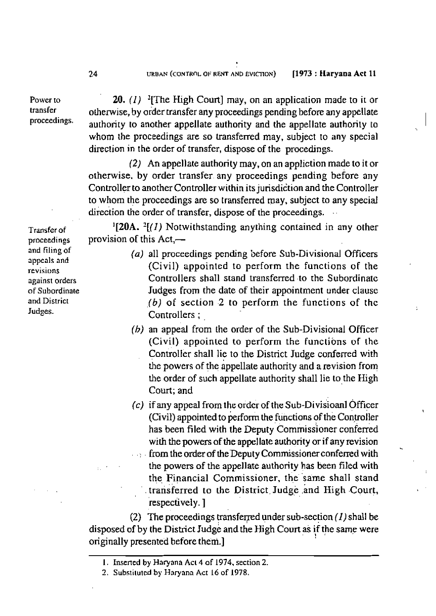**Power 10 transfer proceedings.**   $24$ 

**20.** *(I)* ?[The **figh Court] may, on an application made to** ir or orherwise, by **order transfer any proceedings pending** before **any appellate**  authority **to another appellate authority and the appeIlate authority to whom** *the* proceedings **are so** transferred may, subject to **any** special **direction in the order of transfer, dispose of the procedings.** 

**(2) An appellate authority may, on an appliction made to it or otherwise. by order transfer any proceedings pending before any Controller to another Controller within its jurisdiction and the Controller to whom the proceedings** are **so transferred may, subject to any special**  direction the order of transfer, dispose of the proceedings.

**'[ZOA.** *'[(I)* **Notwithstanding anything contained in any other provision of this Act,-** 

- **(a) all proceedings** pcnding before **Sub-Divisional W~cers (Civil) appointed to perform the functions of the Controllers shall stand transferred to the Subordinate Judges from the date of their appointment under clause**  *-16)* **of section -2 to perform the functions of thc Controllers** ; ,
- (b) an appeal from the order of the Sub-Divisional Officer **(Civil) appoinLed to perform the functions of the**  Controller shall lie to the District **Judge** conferred **with**  the **powers** of **the appellate** authority **and arevision** from the **order of** such **appellate authority** shaIl **lie to** the High Court; and
- *(c)* **if** any **appeal from the ordcr of the sub-Divisioanl** Officer **(Civil) appointed** to perform **the functions** of **the Con,woller**  has been filed with the Deputy Commissioner conferred with **the powers of the appellate authority** or **if any revision**  .: . **from theorderof theDeputy Commissionerconferred with** . the **powers of** the **appellate authority has been filed with**  the Financial Commissioner, the same shall stand . **transferred to the District, Judge and High .Court,** '. **respectively.** ]

**(2)** The proceedings transferred under sub-section  $(1)$  shall be **disposed** of by **the District lud& and** the High Coun **ai** , **if I, the** same **were originally presented before them.]** 

**Transfer of proceedings and filing of appcals and revisions against ordcrs of Subordinate and District Judges.** 

**I.** Insencd **by Haryana ACL 4 of 1974, section 2.** 

<sup>2.</sup> Substituted by Haryana Act 16 of 1978.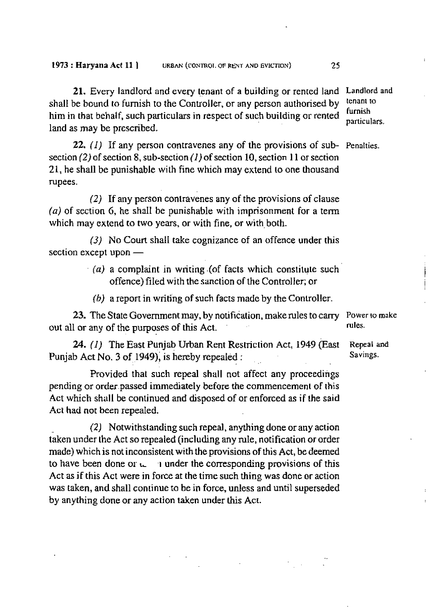**21. Every** landlord and **every tenant** of **a building or** rented **land Landlord and shall** be bound **to furnish** to *the* Controller, or **any person authorised by him in that** behalf, **such particulars in respect of such building** or **rented**  land **as may be prescribed.** 

**22. (1)** If **any person contravenes any of** the **provisions of sub-**Penalties.  $\text{section}(2)$  of  $\text{section}(8, \text{sub-section}(1)$  of  $\text{section}(10, \text{section}(1)$  or  $\text{section}(2)$ **2 1, he shall** be **punishable with** fine **which may extend to one** thousand rupees.

**(2) If any** person contravenes **any of** the **provisions of** clause **(a) of** section *6,* he shaIl **be punishable** with imprisonment **for a** term which **may extend to two** years, **or** with fine, **or with,** both.

(3) No Court **shall take cognizance** of **an offence under this**  section except upon -

- $(a)$  **a** complaint in writing (of facts which constitute such **offence) filed wj th** the **sanction of** the Controller; or
	- **(b) a** report **in writing of such** facts **made** by the Conlroller

**23.** The **State** Government **may, by** notification, **make** rules to **carry**  out all or **any** of the **purposes of this Act.** ' **rules.** 

**24.** *(1)* The **East Punjab Urban Rent Restriction Act, 1949** (East Punjab **Act** No. **3 of** 1949); **is** hereby **repealed** :

**Provided that such repeal shall not** affect **any proceedings pending** or **order-passed immediately before the** commencement of **this Act** which **shall** be **continued and disposed of** or **enforced as if the said Act had nor** been **repeaIed.** 

**(2) Notwithstandingsuchrepeal,anythingdoneoranyaction taken** under the **Act** *so* **repealed (including** any rule, **notification or order**  made) which is not inconsistent with the provisions of this Act, be deemed to have been done or  $\mathfrak{c}_r = 1$  under the corresponding provisions of this **Act as if this Act were in force at the time** such **thing was** done **or action was taken, and shall continue** to **be in force, unless and** until **superseded**  by **anything** done **or any action** taken under **this Acr.** 

tenanl **to furnish particulars.** 

Power **ro make** 

**Repeal and Savings.**